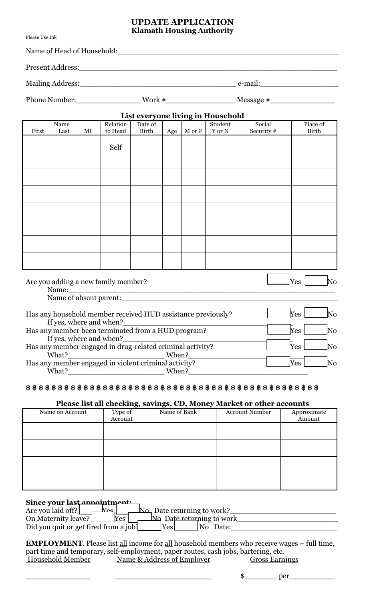## **UPDATE APPLICATION Klamath Housing Authority**

Please Use Ink

|       | Name of Head of Household: |    |                                                              |                  |       |                  | <u> 1980 - Andrea Andrewski, amerikansk politik (d. 1980)</u> |                        |                                  |
|-------|----------------------------|----|--------------------------------------------------------------|------------------|-------|------------------|---------------------------------------------------------------|------------------------|----------------------------------|
|       |                            |    |                                                              |                  |       |                  |                                                               |                        |                                  |
|       |                            |    |                                                              |                  |       |                  |                                                               |                        |                                  |
|       |                            |    |                                                              |                  |       |                  |                                                               |                        |                                  |
|       |                            |    |                                                              |                  |       |                  | List everyone living in Household                             |                        |                                  |
| First | Name<br>Last               | MI | Relation<br>to Head                                          | Date of<br>Birth |       | Age   $M$ or $F$ | Student<br>Y or N                                             | Social<br>Security #   | Place of<br>Birth                |
|       |                            |    | Self                                                         |                  |       |                  |                                                               |                        |                                  |
|       |                            |    |                                                              |                  |       |                  |                                                               |                        |                                  |
|       |                            |    |                                                              |                  |       |                  |                                                               |                        |                                  |
|       |                            |    |                                                              |                  |       |                  |                                                               |                        |                                  |
|       |                            |    |                                                              |                  |       |                  |                                                               |                        |                                  |
|       |                            |    |                                                              |                  |       |                  |                                                               |                        |                                  |
|       |                            |    |                                                              |                  |       |                  |                                                               |                        |                                  |
|       |                            |    |                                                              |                  |       |                  |                                                               |                        |                                  |
|       |                            |    |                                                              |                  |       |                  |                                                               |                        |                                  |
|       |                            |    | Are you adding a new family member?                          |                  |       |                  |                                                               |                        | $\mathbb{N}^{\Omega}$<br>Yes     |
|       |                            |    |                                                              |                  |       |                  |                                                               | Name of absent parent: |                                  |
|       |                            |    | Has any household member received HUD assistance previously? |                  |       |                  |                                                               |                        | Yes<br>$\overline{\text{No}}$    |
|       | If yes, where and when?    |    | Has any member been terminated from a HUD program?           |                  |       |                  |                                                               |                        | Yes<br>$\overline{\text{No}}$    |
|       | If yes, where and when?    |    | Has any member engaged in drug-related criminal activity?    |                  |       |                  |                                                               |                        | $\bar{\chi}_{\mathrm{es}}$<br>No |
|       | What?                      |    |                                                              |                  | When? |                  |                                                               |                        |                                  |
|       | What?                      |    | Has any member engaged in violent criminal activity?         |                  | When? |                  |                                                               |                        | Yes<br>No                        |

## **\$ \$ \$ \$ \$ \$ \$ \$ \$ \$ \$ \$ \$ \$ \$ \$ \$ \$ \$ \$ \$ \$ \$ \$ \$ \$ \$ \$ \$ \$ \$ \$ \$ \$ \$ \$ \$ \$ \$ \$ \$ \$ \$ \$ \$ \$**

## **Please list all checking, savings, CD, Money Market or other accounts**

|                 |                    | $\overline{\mathbf{c}}$ , $\overline{\mathbf{c}}$ , $\overline{\mathbf{c}}$ , $\overline{\mathbf{c}}$ |                       |                       |
|-----------------|--------------------|-------------------------------------------------------------------------------------------------------|-----------------------|-----------------------|
| Name on Account | Type of<br>Account | Name of Bank                                                                                          | <b>Account Number</b> | Approximate<br>Amount |
|                 |                    |                                                                                                       |                       |                       |
|                 |                    |                                                                                                       |                       |                       |
|                 |                    |                                                                                                       |                       |                       |
|                 |                    |                                                                                                       |                       |                       |

## Since your last annountment

| Are you laid off?<br>$V_{\mathbf{Q} \mathbf{C}}$ | $\mathbb{N}\rightarrow$ Date returning to work? |
|--------------------------------------------------|-------------------------------------------------|
| Yes<br>On Maternity leave?                       | <u>N</u> Date returning to work                 |
| Did you quit or get fired from a job?            | Yes<br> No Date:                                |

**EMPLOYMENT**. Please list all income for all household members who receive wages – full time, part time and temporary, self-employment, paper routes, cash jobs, bartering, etc. Household Member Name & Address of Employer Gross Earnings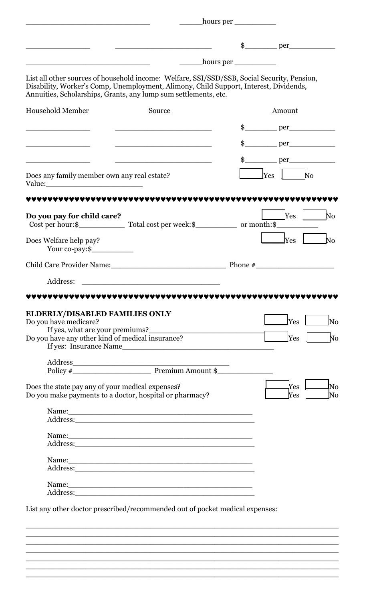|                                                                                                                                                |                                                                                                                                                                                                                                                           | hours per ___________ |                                                  |
|------------------------------------------------------------------------------------------------------------------------------------------------|-----------------------------------------------------------------------------------------------------------------------------------------------------------------------------------------------------------------------------------------------------------|-----------------------|--------------------------------------------------|
|                                                                                                                                                |                                                                                                                                                                                                                                                           |                       |                                                  |
|                                                                                                                                                |                                                                                                                                                                                                                                                           |                       |                                                  |
|                                                                                                                                                | List all other sources of household income: Welfare, SSI/SSD/SSB, Social Security, Pension,<br>Disability, Worker's Comp, Unemployment, Alimony, Child Support, Interest, Dividends,<br>Annuities, Scholarships, Grants, any lump sum settlements, etc.   |                       |                                                  |
| <b>Household Member</b>                                                                                                                        | Source                                                                                                                                                                                                                                                    |                       | Amount                                           |
|                                                                                                                                                |                                                                                                                                                                                                                                                           |                       |                                                  |
|                                                                                                                                                |                                                                                                                                                                                                                                                           |                       |                                                  |
|                                                                                                                                                |                                                                                                                                                                                                                                                           |                       |                                                  |
| Does any family member own any real estate?                                                                                                    |                                                                                                                                                                                                                                                           |                       | Yes <br>N <sub>o</sub>                           |
|                                                                                                                                                |                                                                                                                                                                                                                                                           |                       |                                                  |
| Do you pay for child care?                                                                                                                     |                                                                                                                                                                                                                                                           |                       | $Yes \perp$<br>$\rm No$                          |
| Does Welfare help pay?<br>Your co-pay:\$                                                                                                       |                                                                                                                                                                                                                                                           |                       | N <sub>0</sub><br>Yes                            |
|                                                                                                                                                | Child Care Provider Name:                                                                                                                                                                                                                                 |                       | Phone $\#$                                       |
| Address:                                                                                                                                       |                                                                                                                                                                                                                                                           |                       |                                                  |
|                                                                                                                                                |                                                                                                                                                                                                                                                           |                       |                                                  |
| ELDERLY/DISABLED FAMILIES ONLY<br>Do you have medicare?<br>If yes, what are your premiums?<br>Do you have any other kind of medical insurance? | If yes: Insurance Name                                                                                                                                                                                                                                    |                       | <b>No</b><br>Yes<br>Yes<br>No                    |
|                                                                                                                                                |                                                                                                                                                                                                                                                           |                       |                                                  |
|                                                                                                                                                |                                                                                                                                                                                                                                                           |                       |                                                  |
| Does the state pay any of your medical expenses?<br>Do you make payments to a doctor, hospital or pharmacy?                                    |                                                                                                                                                                                                                                                           |                       | $\overline{\text{No}}$<br>Yes<br>Yes<br>$\rm No$ |
|                                                                                                                                                |                                                                                                                                                                                                                                                           |                       |                                                  |
|                                                                                                                                                |                                                                                                                                                                                                                                                           |                       |                                                  |
|                                                                                                                                                | Name: Name and the second contract of the second contract of the second contract of the second contract of the second contract of the second contract of the second contract of the second contract of the second contract of<br>Address: <u>Address:</u> |                       |                                                  |
|                                                                                                                                                | Name: Name:                                                                                                                                                                                                                                               |                       |                                                  |
|                                                                                                                                                |                                                                                                                                                                                                                                                           |                       |                                                  |
|                                                                                                                                                |                                                                                                                                                                                                                                                           |                       |                                                  |
|                                                                                                                                                | List any other doctor prescribed/recommended out of pocket medical expenses:                                                                                                                                                                              |                       |                                                  |
|                                                                                                                                                |                                                                                                                                                                                                                                                           |                       |                                                  |
|                                                                                                                                                |                                                                                                                                                                                                                                                           |                       |                                                  |
|                                                                                                                                                | Name: Name:                                                                                                                                                                                                                                               |                       |                                                  |

 $\_$  , and the set of the set of the set of the set of the set of the set of the set of the set of the set of the set of the set of the set of the set of the set of the set of the set of the set of the set of the set of th  $\_$  , and the set of the set of the set of the set of the set of the set of the set of the set of the set of the set of the set of the set of the set of the set of the set of the set of the set of the set of the set of th  $\_$  , and the set of the set of the set of the set of the set of the set of the set of the set of the set of the set of the set of the set of the set of the set of the set of the set of the set of the set of the set of th  $\_$  , and the set of the set of the set of the set of the set of the set of the set of the set of the set of the set of the set of the set of the set of the set of the set of the set of the set of the set of the set of th